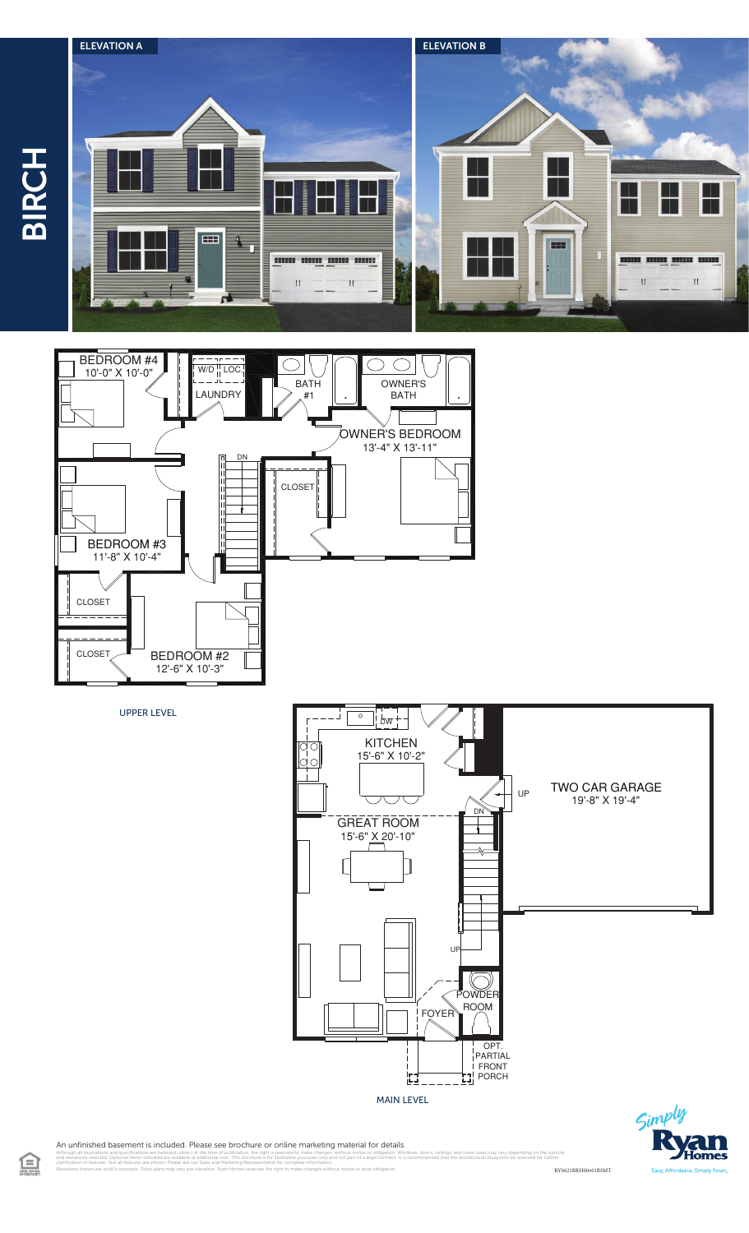



UPPER LEVEL



 $\zeta$ im

An unfinished basement is included. Please see brochure or online marketing material for details.

illustrations and specifications are believed correct at the time of publication, the right is reserved to make changes, without notice or obligation. Windows, doors, cellings, and room sizes may vary depending on the opti clarification of features. Not all features are shown. Please ask our Sales and Marketing Representative for complete information. Elevations shown are artist's concepts. Floor plans may vary per elevation. Ryan Homes reserves the right to make changes without notice or prior obligation. RY0621BRH00v01BSMT